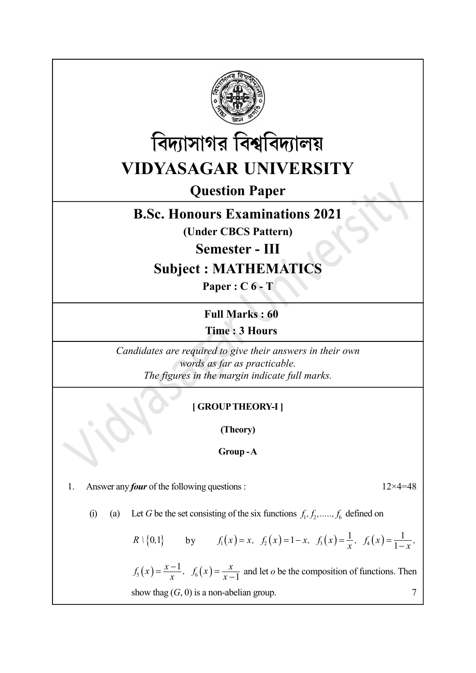



Question Paper

## B.Sc. Honours Examinations 2021

(Under CBCS Pattern)

Semester - III

Subject : MATHEMATICS

Paper : C 6 - T

Full Marks : 60 Time : 3 Hours

Candidates are required to give their answers in their own words as far as practicable. The figures in the margin indicate full marks. **The : 3 Hours**<br>
didates are required to give their answers in their own<br>
words as far as practicable.<br>
The figures in the margin indicate full marks.<br>
[GROUP THEORY-1]<br>
(Theory)<br>
Group-A<br>
four of the following questions

## [ GROUP THEORY-I ]

(Theory)

Group - A

1. Answer any *four* of the following questions :  $12 \times 4 = 48$ 

(i) (a) Let G be the set consisting of the six functions  $f_1, f_2, \ldots, f_6$  defined on

R 
$$
\set{0,1}
$$
 by  $f_1(x) = x$ ,  $f_2(x) = 1-x$ ,  $f_3(x) = \frac{1}{x}$ ,  $f_4(x) = \frac{1}{1-x}$ ,

words as far as practicable.<br>
The figures in the margin indicate full marks.<br>
[GROUP THEORY-1]<br>
(Theory)<br>
Group - A<br>
bur of the following questions :  $12 \times 4 = 48$ <br>
Let G be the set consisting of the six functions  $f_1, f_2$  $\overline{x}$ ,  $J_6(x) = \overline{x-}$  $f_5(x) = \frac{x-1}{x}$ ,  $f_6(x) = \frac{x}{x-1}$ 1  $\frac{1}{1}$  and let *o* be the composition of functions. Then show thag  $(G, 0)$  is a non-abelian group.  $7$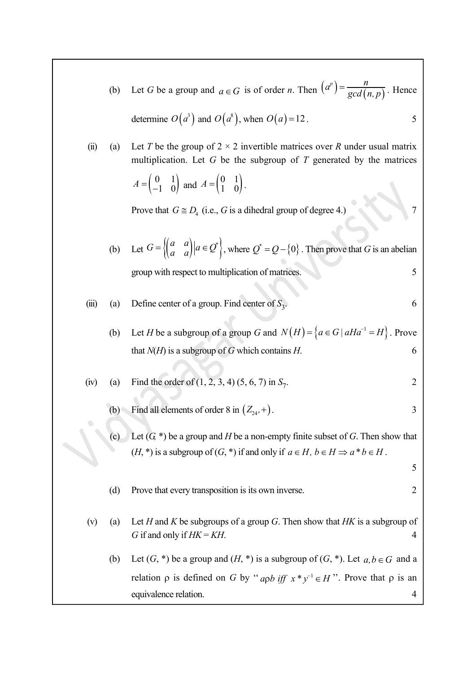|                | (b)               | Let G be a group and $a \in G$ is of order n. Then $\left(a^p\right) = \frac{n}{\gcd(n, p)}$ . Hence                                                                                 |        |
|----------------|-------------------|--------------------------------------------------------------------------------------------------------------------------------------------------------------------------------------|--------|
|                |                   | determine $O(a^3)$ and $O(a^3)$ , when $O(a) = 12$ .                                                                                                                                 | 5      |
| $\overline{u}$ | (a)               | Let T be the group of $2 \times 2$ invertible matrices over R under usual matrix<br>multiplication. Let $G$ be the subgroup of $T$ generated by the matrices                         |        |
|                |                   | $A = \begin{pmatrix} 0 & 1 \\ -1 & 0 \end{pmatrix}$ and $A = \begin{pmatrix} 0 & 1 \\ 1 & 0 \end{pmatrix}$ .                                                                         |        |
|                |                   | Prove that $G \cong D_4$ (i.e., G is a dihedral group of degree 4.)                                                                                                                  |        |
|                |                   | (b) Let $G = \left\{ \begin{pmatrix} a & a \\ a & a \end{pmatrix} \mid a \in \mathcal{Q}^* \right\}$ , where $\mathcal{Q}^* = \mathcal{Q} - \{0\}$ . Then prove that G is an abelian |        |
|                |                   | group with respect to multiplication of matrices.                                                                                                                                    | 5      |
| (iii)          | (a)               | Define center of a group. Find center of $S_3$ .                                                                                                                                     | 6      |
|                | (b)               | Let <i>H</i> be a subgroup of a group <i>G</i> and $N(H) = \{a \in G \mid aHa^{-1} = H\}$ . Prove                                                                                    |        |
|                |                   | that $N(H)$ is a subgroup of G which contains H.                                                                                                                                     | 6      |
| (iv)           | $\left( a\right)$ | Find the order of $(1, 2, 3, 4)$ $(5, 6, 7)$ in $S_7$ .                                                                                                                              | 2      |
|                | (b)               | Find all elements of order 8 in $(Z_{24}, +)$ .                                                                                                                                      | 3      |
|                | (c)               | Let $(G,*)$ be a group and H be a non-empty finite subset of G. Then show that                                                                                                       |        |
|                |                   | $(H, \ast)$ is a subgroup of $(G, \ast)$ if and only if $a \in H$ , $b \in H \Rightarrow a \ast b \in H$ .                                                                           |        |
|                |                   | Prove that every transposition is its own inverse.                                                                                                                                   | 5<br>2 |
|                | (d)               |                                                                                                                                                                                      |        |
| (v)            | (a)               | Let $H$ and $K$ be subgroups of a group $G$ . Then show that $HK$ is a subgroup of<br>G if and only if $HK = KH$ .                                                                   | 4      |
|                | (b)               | Let $(G,*)$ be a group and $(H,*)$ is a subgroup of $(G,*)$ . Let $a, b \in G$ and a                                                                                                 |        |
|                |                   | relation $\rho$ is defined on G by "app iff $x * y^{-1} \in H$ ". Prove that $\rho$ is an                                                                                            |        |
|                |                   | equivalence relation.                                                                                                                                                                | 4      |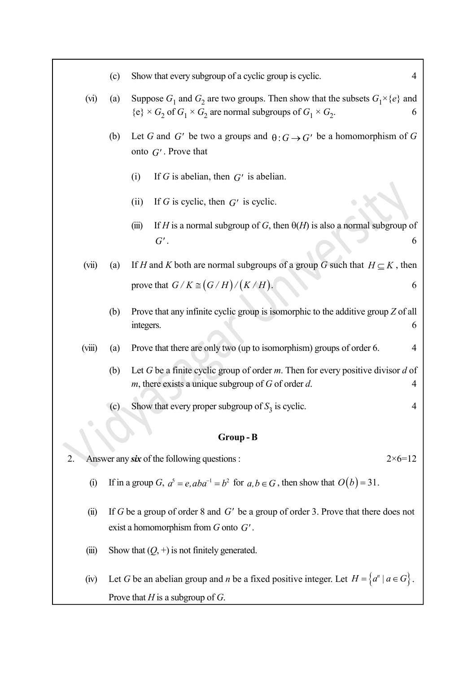- (c) Show that every subgroup of a cyclic group is cyclic. 4 (vi) (a) Suppose  $G_1$  and  $G_2$  are two groups. Then show that the subsets  $G_1 \times \{e\}$  and  ${e} \times G_2$  of  $G_1 \times G_2$  are normal subgroups of  $G_1 \times G_2$ .  $\begin{array}{|c|c|c|c|c|}\n\hline\n\text{.} & \text{6} & \text{ } \end{array}$ (b) Let G and G' be two a groups and  $\theta: G \to G'$  be a homomorphism of G onto  $G'$ . Prove that (i) If G is abelian, then  $G'$  is abelian. (ii) If G is cyclic, then  $G'$  is cyclic. (iii) If H is a normal subgroup of G, then  $\Theta(H)$  is also a normal subgroup of  $G'$  .  $\hspace{1.6cm} 6 \hspace{1.5cm} \vert$ (vii) (a) If H and K both are normal subgroups of a group G such that  $H \subseteq K$ , then prove that  $G/K \cong (G/H)/(K/H)$ . (b) Prove that any infinite cyclic group is isomorphic to the additive group  $Z$  of all integers. 6 (viii) (a) Prove that there are only two (up to isomorphism) groups of order 6. 4 (b) Let G be a finite cyclic group of order m. Then for every positive divisor d of m, there exists a unique subgroup of  $G$  of order  $d$ .  $\Box$  4 (c) Show that every proper subgroup of  $S_3$  is cyclic. 4 Group - B 2. Answer any six of the following questions :  $2 \times 6 = 12$ (i) If in a group G,  $a^5 = e$ ,  $aba^{-1} = b^2$  for  $a, b \in G$ , then show that  $O(b) = 31$ .
	- (ii) If G be a group of order 8 and G' be a group of order 3. Prove that there does not exist a homomorphism from  $G$  onto  $G'$ .
	- (iii) Show that  $(Q, +)$  is not finitely generated.
	- (iv) Let G be an abelian group and n be a fixed positive integer. Let  $H = \{a^n \mid a \in G\}$ . Prove that  $H$  is a subgroup of  $G$ .